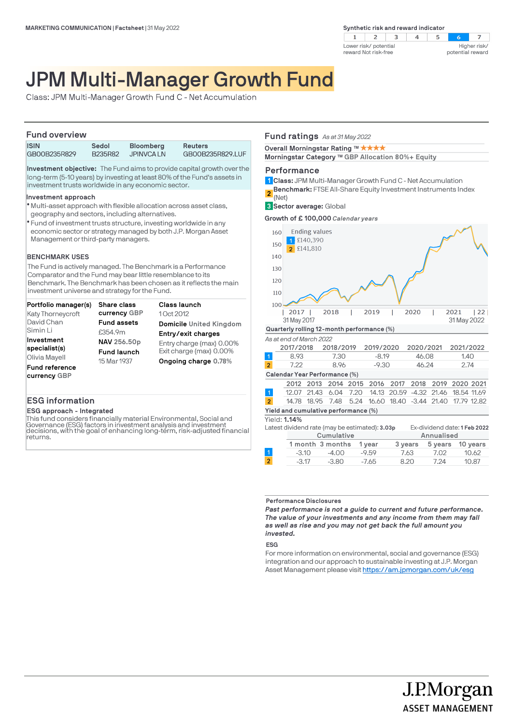**Synthetic risk and reward indicator** 



# JPM Multi-Manager Growth Fund

Class: JPM Multi-Manager Growth Fund C - Net Accumulation

# **Fund overview**

| <b>ULIU UVU VICIV</b> |                  |                                |                                    |
|-----------------------|------------------|--------------------------------|------------------------------------|
| ISIN<br>GB00B235R829  | Sedol<br>B235R82 | <b>Bloomberg</b><br>JPINVCA LN | <b>Reuters</b><br>GB00B235R829.LUF |
|                       |                  |                                |                                    |

**Investment objective:** The Fund aims to provide capital growth over the long-term (5-10 years) by investing at least 80% of the Fund's assets in investment trusts worldwide in any economic sector.

### **Investment approach**

- Multi-asset approach with flexible allocation across asset class, l geography and sectors, including alternatives.
- Fund of investment trusts structure, investing worldwide in any l economic sector or strategy managed by both J.P. Morgan Asset Management or third-party managers.

### **BENCHMARK USES**

The Fund is actively managed. The Benchmark is a Performance Comparator and the Fund may bear little resemblance to its Benchmark. The Benchmark has been chosen as it reflects the main investment universe and strategy for the Fund.

|                       | Portfolio manager(s)     | <b>Share class</b> | <b>Class launch</b>      |
|-----------------------|--------------------------|--------------------|--------------------------|
|                       | <b>Katy Thorneycroft</b> | currency GBP       | 10ct 2012                |
| David Chan            |                          | <b>Fund assets</b> | Domicile United Kingdom  |
| Simin Li              |                          | £354.9m            | Entry/exit charges       |
| Investment            |                          | NAV 256.50p        | Entry charge (max) 0.00% |
| specialist(s)         |                          | <b>Fund launch</b> | Exit charge (max) 0.00%  |
| Olivia Mayell         |                          | 15 Mar 1937        | Ongoing charge 0.78%     |
| <b>Fund reference</b> |                          |                    |                          |
| currency GBP          |                          |                    |                          |

## **ESG information**

### **ESG approach - Integrated**

This fund considers financially material Environmental, Social and Governance (ESG) factors in investment analysis and investment decisions, with the goal of enhancing long-term, risk-adjusted financial returns.

### **Fund ratings** *As at 31 May 2022*

**Overall Morningstar Rating ™ ★ ★ ★ ★** 

**Morningstar Category ™ GBP Allocation 80%+ Equity** 

### **Performance**

- **Class:** JPM Multi-Manager Growth Fund C Net Accumulation **1**
- **Benchmark:** FTSE All-Share Equity Investment Instruments Index **2**

(Net) **Sector average:** Global **3**

**Growth of £ 100,000** *Calendar years*



| Cumulative |                  |         | Annualised |      |                  |
|------------|------------------|---------|------------|------|------------------|
|            | 1 month 3 months | 1 vear  | 3 vears    |      | 5 years 10 years |
| $-3.10$    | $-4.00$          | $-9.59$ | 7.63       | 7.02 | 10.62            |
| $-3.17$    | $-3.80$          | $-7.65$ | 8.20       | 7.24 | 10.87            |
|            |                  |         |            |      |                  |

#### **Performance Disclosures**

*Past performance is not a guide to current and future performance. The value of your investments and any income from them may fall as well as rise and you may not get back the full amount you invested.* 

**ESG**

For more information on environmental, social and governance (ESG) integration and our approach to sustainable investing at J.P. Morgan Asset Management please visit https://am.jpmorgan.com/uk/esg

> J.P.Morgan **ASSET MANAGEMENT**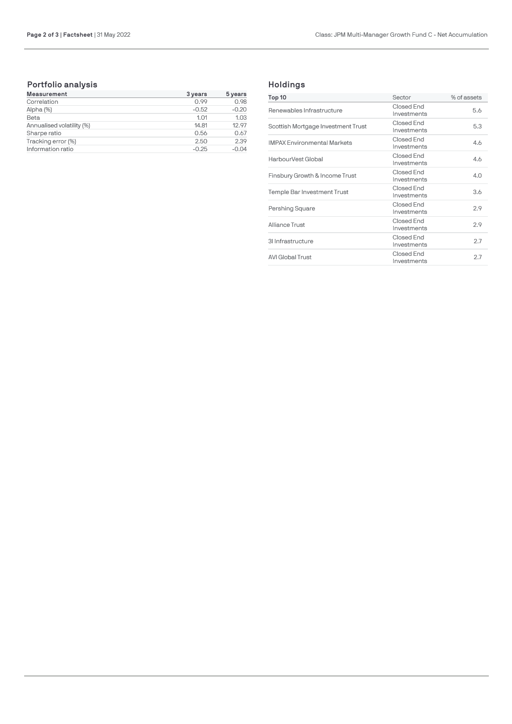# **Portfolio analysis**

| <b>Measurement</b>        | 3 years | 5 years |
|---------------------------|---------|---------|
| Correlation               | 0.99    | 0.98    |
| Alpha (%)                 | $-0.52$ | $-0.20$ |
| Beta                      | 1.01    | 1.03    |
| Annualised volatility (%) | 14.81   | 12.97   |
| Sharpe ratio              | 0.56    | 0.67    |
| Tracking error (%)        | 2.50    | 2.39    |
| Information ratio         | $-0.25$ | $-0.04$ |

# **Holdings**

| Top 10                             | Sector                    | % of assets |
|------------------------------------|---------------------------|-------------|
| Renewables Infrastructure          | Closed End<br>Investments | 5.6         |
| Scottish Mortgage Investment Trust | Closed End<br>Investments | 5.3         |
| <b>IMPAX Environmental Markets</b> | Closed End<br>Investments | 4.6         |
| HarbourVest Global                 | Closed End<br>Investments | 4.6         |
| Finsbury Growth & Income Trust     | Closed End<br>Investments | 4.0         |
| Temple Bar Investment Trust        | Closed End<br>Investments | 3.6         |
| Pershing Square                    | Closed End<br>Investments | 2.9         |
| Alliance Trust                     | Closed End<br>Investments | 2.9         |
| 31 Infrastructure                  | Closed End<br>Investments | 2.7         |
| <b>AVI Global Trust</b>            | Closed End<br>Investments | 2.7         |